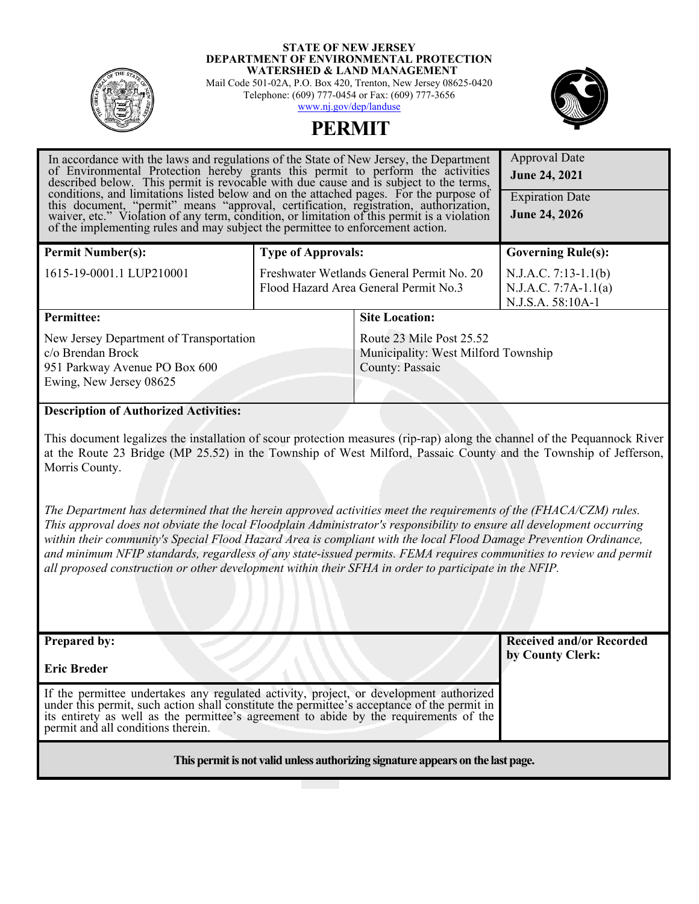#### **STATE OF NEW JERSEY DEPARTMENT OF ENVIRONMENTAL PROTECTION WATERSHED & LAND MANAGEMENT**



Mail Code 501-02A, P.O. Box 420, Trenton, New Jersey 08625-0420 Telephone: (609) 777-0454 or Fax: (609) 777-3656 [www.nj.gov/dep/landuse](http://www.nj.gov/dep/landuse)



Approval Date

# **PERMIT**

| In accordance with the laws and regulations of the State of New Jersey, the Department<br>of Environmental Protection hereby grants this permit to perform the activities described below. This permit is revocable with due cause and is subject to the terms,<br>conditions, and limitations listed below and on the attached pages. For the purpose of<br>this document, "permit" means "approval, certification, registration, authorization, waiver, etc." Violation of any term, condition, or limitation of this permit is a violation<br>of the implementing rules and may subject the permittee to enforcement action. | Approval Date<br><b>June 24, 2021</b><br><b>Expiration Date</b><br><b>June 24, 2026</b>                                    |                                                                       |  |
|---------------------------------------------------------------------------------------------------------------------------------------------------------------------------------------------------------------------------------------------------------------------------------------------------------------------------------------------------------------------------------------------------------------------------------------------------------------------------------------------------------------------------------------------------------------------------------------------------------------------------------|----------------------------------------------------------------------------------------------------------------------------|-----------------------------------------------------------------------|--|
| <b>Permit Number(s):</b>                                                                                                                                                                                                                                                                                                                                                                                                                                                                                                                                                                                                        | <b>Type of Approvals:</b>                                                                                                  | <b>Governing Rule(s):</b>                                             |  |
| 1615-19-0001.1 LUP210001                                                                                                                                                                                                                                                                                                                                                                                                                                                                                                                                                                                                        | Freshwater Wetlands General Permit No. 20<br>Flood Hazard Area General Permit No.3                                         | $N.J.A.C. 7:13-1.1(b)$<br>$N.J.A.C. 7:7A-1.1(a)$<br>N.J.S.A. 58:10A-1 |  |
| <b>Permittee:</b>                                                                                                                                                                                                                                                                                                                                                                                                                                                                                                                                                                                                               | <b>Site Location:</b>                                                                                                      |                                                                       |  |
| New Jersey Department of Transportation<br>c/o Brendan Brock<br>951 Parkway Avenue PO Box 600<br>Ewing, New Jersey 08625                                                                                                                                                                                                                                                                                                                                                                                                                                                                                                        | Route 23 Mile Post 25.52<br>County: Passaic                                                                                | Municipality: West Milford Township                                   |  |
| <b>Description of Authorized Activities:</b>                                                                                                                                                                                                                                                                                                                                                                                                                                                                                                                                                                                    |                                                                                                                            |                                                                       |  |
|                                                                                                                                                                                                                                                                                                                                                                                                                                                                                                                                                                                                                                 | This document legalizes the installation of securi protection measures (rin rep) glope the channal of the Dequenneal Diver |                                                                       |  |

This document legalizes the installation of scour protection measures (rip-rap) along the channel of the Pequannock River at the Route 23 Bridge (MP 25.52) in the Township of West Milford, Passaic County and the Township of Jefferson, Morris County.

*The Department has determined that the herein approved activities meet the requirements of the (FHACA/CZM) rules. This approval does not obviate the local Floodplain Administrator's responsibility to ensure all development occurring*  within their community's Special Flood Hazard Area is compliant with the local Flood Damage Prevention Ordinance, *and minimum NFIP standards, regardless of any state-issued permits. FEMA requires communities to review and permit all proposed construction or other development within their SFHA in order to participate in the NFIP.*

| <b>Prepared by:</b>                                                                                                                                                                                                                                                                                            | <b>Received and/or Recorded</b> |  |
|----------------------------------------------------------------------------------------------------------------------------------------------------------------------------------------------------------------------------------------------------------------------------------------------------------------|---------------------------------|--|
|                                                                                                                                                                                                                                                                                                                | by County Clerk:                |  |
| <b>Eric Breder</b>                                                                                                                                                                                                                                                                                             |                                 |  |
| If the permittee undertakes any regulated activity, project, or development authorized under this permit, such action shall constitute the permittee's acceptance of the permit in<br>its entirety as well as the permittee's agreement to abide by the requirements of the permit and all conditions therein. |                                 |  |
| This permit is not valid unless authorizing signature appears on the last page.                                                                                                                                                                                                                                |                                 |  |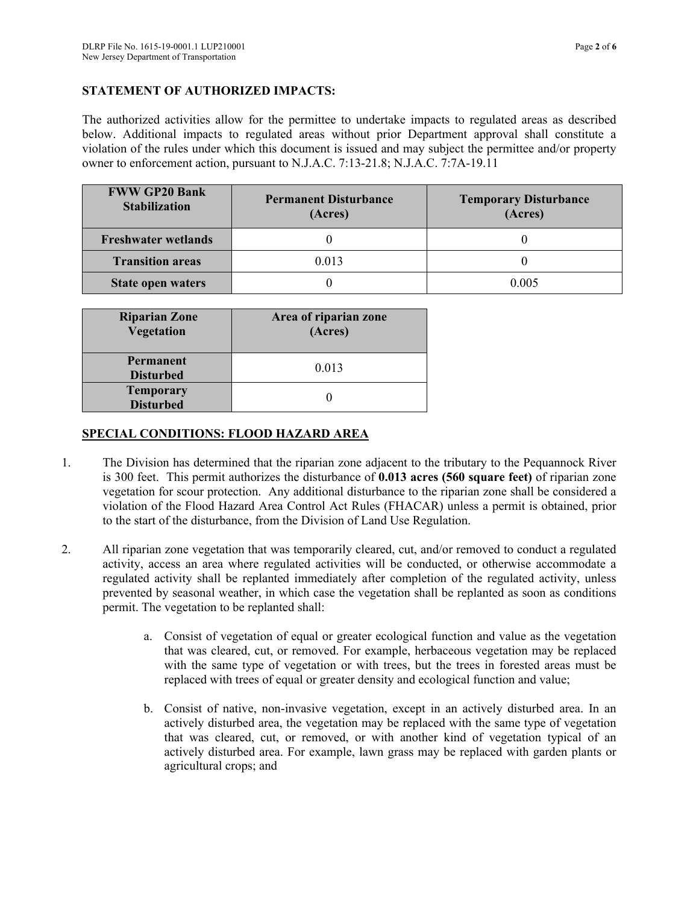## **STATEMENT OF AUTHORIZED IMPACTS:**

The authorized activities allow for the permittee to undertake impacts to regulated areas as described below. Additional impacts to regulated areas without prior Department approval shall constitute a violation of the rules under which this document is issued and may subject the permittee and/or property owner to enforcement action, pursuant to N.J.A.C. 7:13-21.8; N.J.A.C. 7:7A-19.11

| <b>FWW GP20 Bank</b><br><b>Stabilization</b> | <b>Permanent Disturbance</b><br>(Acres) | <b>Temporary Disturbance</b><br>(Acres) |
|----------------------------------------------|-----------------------------------------|-----------------------------------------|
| <b>Freshwater wetlands</b>                   |                                         |                                         |
| <b>Transition areas</b>                      | 0.013                                   |                                         |
| State open waters                            |                                         | 0.005                                   |

| <b>Riparian Zone</b><br>Vegetation   | Area of riparian zone<br>(Acres) |
|--------------------------------------|----------------------------------|
| <b>Permanent</b><br><b>Disturbed</b> | 0.013                            |
| <b>Temporary</b><br><b>Disturbed</b> |                                  |

#### **SPECIAL CONDITIONS: FLOOD HAZARD AREA**

- 1. The Division has determined that the riparian zone adjacent to the tributary to the Pequannock River is 300 feet. This permit authorizes the disturbance of **0.013 acres (560 square feet)** of riparian zone vegetation for scour protection. Any additional disturbance to the riparian zone shall be considered a violation of the Flood Hazard Area Control Act Rules (FHACAR) unless a permit is obtained, prior to the start of the disturbance, from the Division of Land Use Regulation.
- 2. All riparian zone vegetation that was temporarily cleared, cut, and/or removed to conduct a regulated activity, access an area where regulated activities will be conducted, or otherwise accommodate a regulated activity shall be replanted immediately after completion of the regulated activity, unless prevented by seasonal weather, in which case the vegetation shall be replanted as soon as conditions permit. The vegetation to be replanted shall:
	- a. Consist of vegetation of equal or greater ecological function and value as the vegetation that was cleared, cut, or removed. For example, herbaceous vegetation may be replaced with the same type of vegetation or with trees, but the trees in forested areas must be replaced with trees of equal or greater density and ecological function and value;
	- b. Consist of native, non-invasive vegetation, except in an actively disturbed area. In an actively disturbed area, the vegetation may be replaced with the same type of vegetation that was cleared, cut, or removed, or with another kind of vegetation typical of an actively disturbed area. For example, lawn grass may be replaced with garden plants or agricultural crops; and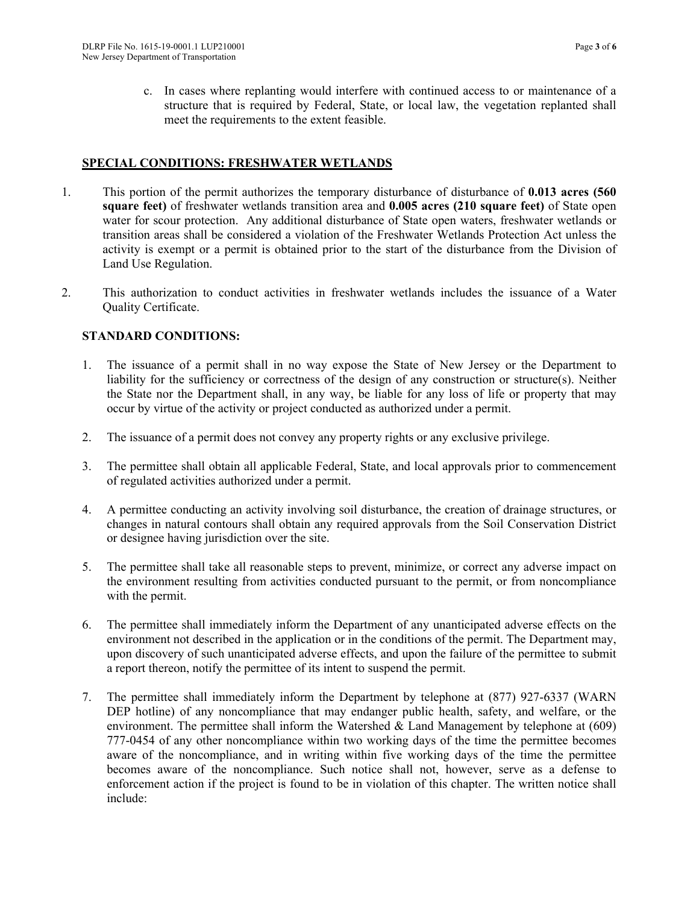c. In cases where replanting would interfere with continued access to or maintenance of a structure that is required by Federal, State, or local law, the vegetation replanted shall meet the requirements to the extent feasible.

#### **SPECIAL CONDITIONS: FRESHWATER WETLANDS**

- 1. This portion of the permit authorizes the temporary disturbance of disturbance of **0.013 acres (560 square feet)** of freshwater wetlands transition area and **0.005 acres (210 square feet)** of State open water for scour protection. Any additional disturbance of State open waters, freshwater wetlands or transition areas shall be considered a violation of the Freshwater Wetlands Protection Act unless the activity is exempt or a permit is obtained prior to the start of the disturbance from the Division of Land Use Regulation.
- 2. This authorization to conduct activities in freshwater wetlands includes the issuance of a Water Quality Certificate.

#### **STANDARD CONDITIONS:**

- 1. The issuance of a permit shall in no way expose the State of New Jersey or the Department to liability for the sufficiency or correctness of the design of any construction or structure(s). Neither the State nor the Department shall, in any way, be liable for any loss of life or property that may occur by virtue of the activity or project conducted as authorized under a permit.
- 2. The issuance of a permit does not convey any property rights or any exclusive privilege.
- 3. The permittee shall obtain all applicable Federal, State, and local approvals prior to commencement of regulated activities authorized under a permit.
- 4. A permittee conducting an activity involving soil disturbance, the creation of drainage structures, or changes in natural contours shall obtain any required approvals from the Soil Conservation District or designee having jurisdiction over the site.
- 5. The permittee shall take all reasonable steps to prevent, minimize, or correct any adverse impact on the environment resulting from activities conducted pursuant to the permit, or from noncompliance with the permit.
- 6. The permittee shall immediately inform the Department of any unanticipated adverse effects on the environment not described in the application or in the conditions of the permit. The Department may, upon discovery of such unanticipated adverse effects, and upon the failure of the permittee to submit a report thereon, notify the permittee of its intent to suspend the permit.
- 7. The permittee shall immediately inform the Department by telephone at (877) 927-6337 (WARN DEP hotline) of any noncompliance that may endanger public health, safety, and welfare, or the environment. The permittee shall inform the Watershed  $\&$  Land Management by telephone at (609) 777-0454 of any other noncompliance within two working days of the time the permittee becomes aware of the noncompliance, and in writing within five working days of the time the permittee becomes aware of the noncompliance. Such notice shall not, however, serve as a defense to enforcement action if the project is found to be in violation of this chapter. The written notice shall include: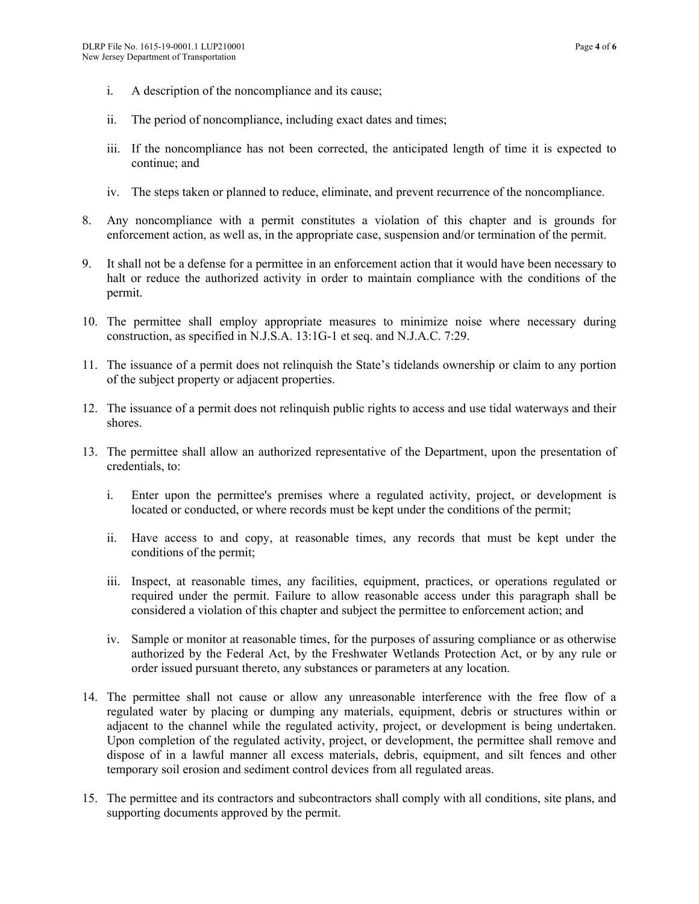- i. A description of the noncompliance and its cause;
- ii. The period of noncompliance, including exact dates and times;
- iii. If the noncompliance has not been corrected, the anticipated length of time it is expected to continue; and
- iv. The steps taken or planned to reduce, eliminate, and prevent recurrence of the noncompliance.
- 8. Any noncompliance with a permit constitutes a violation of this chapter and is grounds for enforcement action, as well as, in the appropriate case, suspension and/or termination of the permit.
- 9. It shall not be a defense for a permittee in an enforcement action that it would have been necessary to halt or reduce the authorized activity in order to maintain compliance with the conditions of the permit.
- 10. The permittee shall employ appropriate measures to minimize noise where necessary during construction, as specified in N.J.S.A. 13:1G-1 et seq. and N.J.A.C. 7:29.
- 11. The issuance of a permit does not relinquish the State's tidelands ownership or claim to any portion of the subject property or adjacent properties.
- 12. The issuance of a permit does not relinquish public rights to access and use tidal waterways and their shores.
- 13. The permittee shall allow an authorized representative of the Department, upon the presentation of credentials, to:
	- i. Enter upon the permittee's premises where a regulated activity, project, or development is located or conducted, or where records must be kept under the conditions of the permit;
	- ii. Have access to and copy, at reasonable times, any records that must be kept under the conditions of the permit;
	- iii. Inspect, at reasonable times, any facilities, equipment, practices, or operations regulated or required under the permit. Failure to allow reasonable access under this paragraph shall be considered a violation of this chapter and subject the permittee to enforcement action; and
	- iv. Sample or monitor at reasonable times, for the purposes of assuring compliance or as otherwise authorized by the Federal Act, by the Freshwater Wetlands Protection Act, or by any rule or order issued pursuant thereto, any substances or parameters at any location.
- 14. The permittee shall not cause or allow any unreasonable interference with the free flow of a regulated water by placing or dumping any materials, equipment, debris or structures within or adjacent to the channel while the regulated activity, project, or development is being undertaken. Upon completion of the regulated activity, project, or development, the permittee shall remove and dispose of in a lawful manner all excess materials, debris, equipment, and silt fences and other temporary soil erosion and sediment control devices from all regulated areas.
- 15. The permittee and its contractors and subcontractors shall comply with all conditions, site plans, and supporting documents approved by the permit.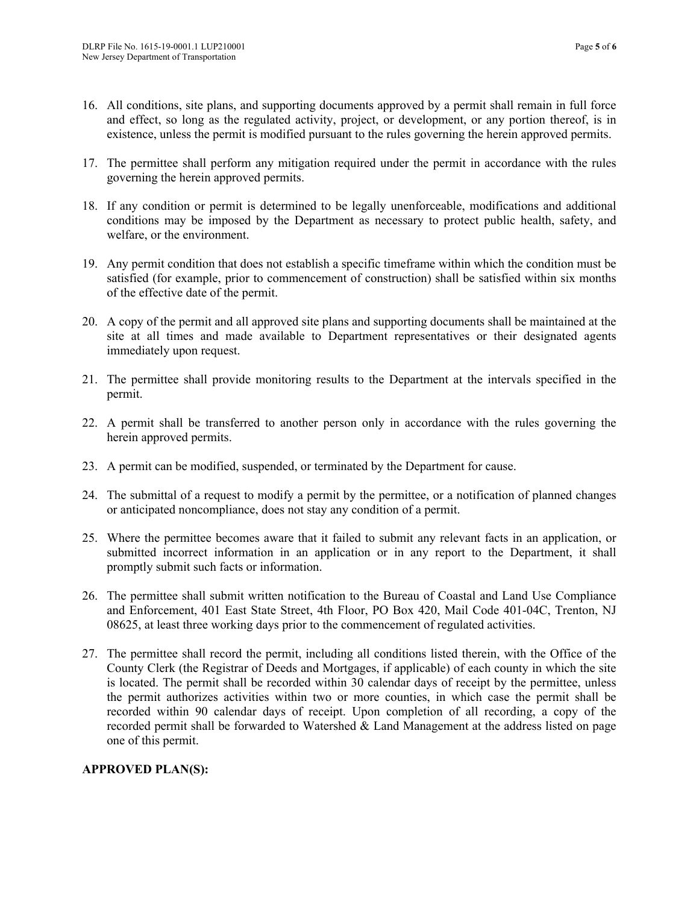- 16. All conditions, site plans, and supporting documents approved by a permit shall remain in full force and effect, so long as the regulated activity, project, or development, or any portion thereof, is in existence, unless the permit is modified pursuant to the rules governing the herein approved permits.
- 17. The permittee shall perform any mitigation required under the permit in accordance with the rules governing the herein approved permits.
- 18. If any condition or permit is determined to be legally unenforceable, modifications and additional conditions may be imposed by the Department as necessary to protect public health, safety, and welfare, or the environment.
- 19. Any permit condition that does not establish a specific timeframe within which the condition must be satisfied (for example, prior to commencement of construction) shall be satisfied within six months of the effective date of the permit.
- 20. A copy of the permit and all approved site plans and supporting documents shall be maintained at the site at all times and made available to Department representatives or their designated agents immediately upon request.
- 21. The permittee shall provide monitoring results to the Department at the intervals specified in the permit.
- 22. A permit shall be transferred to another person only in accordance with the rules governing the herein approved permits.
- 23. A permit can be modified, suspended, or terminated by the Department for cause.
- 24. The submittal of a request to modify a permit by the permittee, or a notification of planned changes or anticipated noncompliance, does not stay any condition of a permit.
- 25. Where the permittee becomes aware that it failed to submit any relevant facts in an application, or submitted incorrect information in an application or in any report to the Department, it shall promptly submit such facts or information.
- 26. The permittee shall submit written notification to the Bureau of Coastal and Land Use Compliance and Enforcement, 401 East State Street, 4th Floor, PO Box 420, Mail Code 401-04C, Trenton, NJ 08625, at least three working days prior to the commencement of regulated activities.
- 27. The permittee shall record the permit, including all conditions listed therein, with the Office of the County Clerk (the Registrar of Deeds and Mortgages, if applicable) of each county in which the site is located. The permit shall be recorded within 30 calendar days of receipt by the permittee, unless the permit authorizes activities within two or more counties, in which case the permit shall be recorded within 90 calendar days of receipt. Upon completion of all recording, a copy of the recorded permit shall be forwarded to Watershed  $\&$  Land Management at the address listed on page one of this permit.

## **APPROVED PLAN(S):**